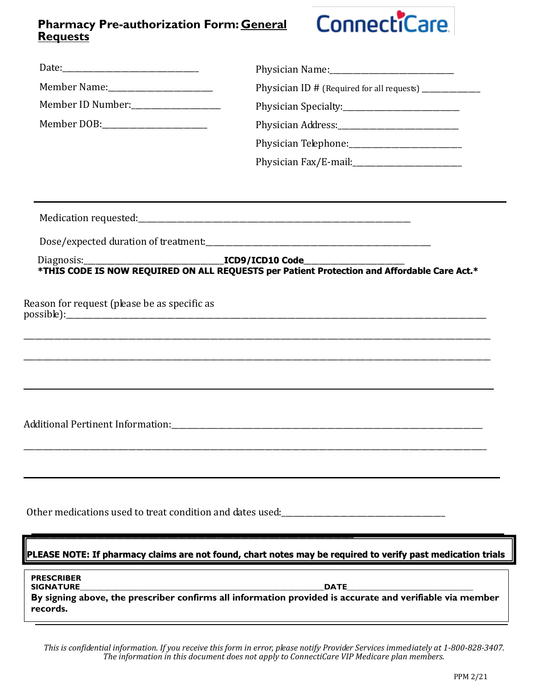## **Requests Pharmacy Pre-authorization Form: General**

## ConnectiCare

|                                                                                                                                                                                                                                | Physician ID # (Required for all requests) _______________                       |  |  |  |  |
|--------------------------------------------------------------------------------------------------------------------------------------------------------------------------------------------------------------------------------|----------------------------------------------------------------------------------|--|--|--|--|
| Member ID Number:                                                                                                                                                                                                              |                                                                                  |  |  |  |  |
| Member DOB: New York Property New York Property New York Property New York Property New York Property New York Property New York Property New York Property New York Property New York Property New York Property New York Pro |                                                                                  |  |  |  |  |
|                                                                                                                                                                                                                                |                                                                                  |  |  |  |  |
|                                                                                                                                                                                                                                |                                                                                  |  |  |  |  |
|                                                                                                                                                                                                                                |                                                                                  |  |  |  |  |
|                                                                                                                                                                                                                                |                                                                                  |  |  |  |  |
|                                                                                                                                                                                                                                |                                                                                  |  |  |  |  |
|                                                                                                                                                                                                                                |                                                                                  |  |  |  |  |
| Reason for request (please be as specific as                                                                                                                                                                                   |                                                                                  |  |  |  |  |
|                                                                                                                                                                                                                                | ,我们也不会有什么?""我们的人,我们也不会有什么?""我们的人,我们也不会有什么?""我们的人,我们也不会有什么?""我们的人,我们也不会有什么?""我们的人 |  |  |  |  |
|                                                                                                                                                                                                                                | Other medications used to treat condition and dates used:                        |  |  |  |  |
| PLEASE NOTE: If pharmacy claims are not found, chart notes may be required to verify past medication trials                                                                                                                    |                                                                                  |  |  |  |  |
| <b>PRESCRIBER</b><br>records.                                                                                                                                                                                                  |                                                                                  |  |  |  |  |

*This is confidential information. If you receive this form in error, please notify Provider Services immediately at 1-800-828-3407. The information in this document does not apply to ConnectiCare VIP Medicare plan members.*